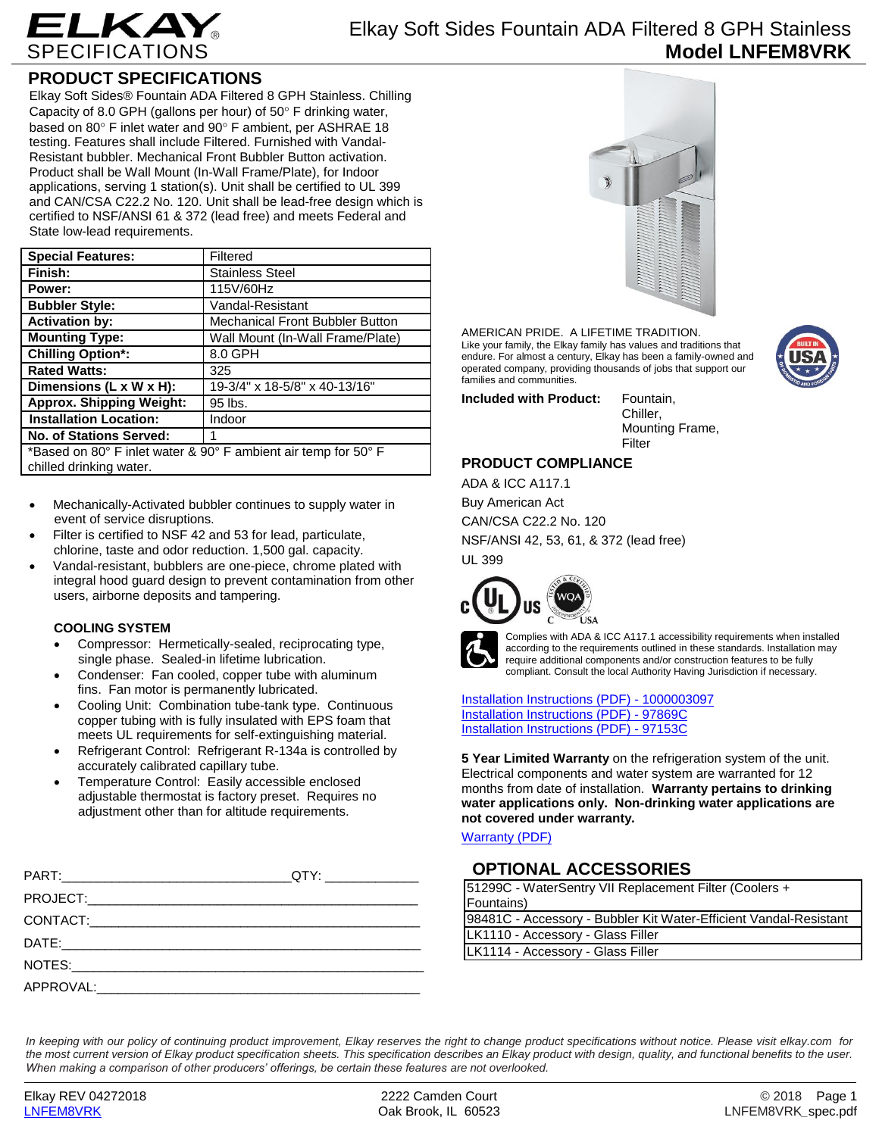

## **PRODUCT SPECIFICATIONS**

Elkay Soft Sides® Fountain ADA Filtered 8 GPH Stainless. Chilling Capacity of 8.0 GPH (gallons per hour) of  $50^\circ$  F drinking water, based on 80° F inlet water and 90° F ambient, per ASHRAE 18 testing. Features shall include Filtered. Furnished with Vandal-Resistant bubbler. Mechanical Front Bubbler Button activation. Product shall be Wall Mount (In-Wall Frame/Plate), for Indoor applications, serving 1 station(s). Unit shall be certified to UL 399 and CAN/CSA C22.2 No. 120. Unit shall be lead-free design which is certified to NSF/ANSI 61 & 372 (lead free) and meets Federal and State low-lead requirements.

| <b>Special Features:</b>                                                                  | Filtered                               |
|-------------------------------------------------------------------------------------------|----------------------------------------|
| Finish:                                                                                   | <b>Stainless Steel</b>                 |
| Power:                                                                                    | 115V/60Hz                              |
| <b>Bubbler Style:</b>                                                                     | Vandal-Resistant                       |
| <b>Activation by:</b>                                                                     | <b>Mechanical Front Bubbler Button</b> |
| <b>Mounting Type:</b>                                                                     | Wall Mount (In-Wall Frame/Plate)       |
| <b>Chilling Option*:</b>                                                                  | 8.0 GPH                                |
| <b>Rated Watts:</b>                                                                       | 325                                    |
| Dimensions (L x W x H):                                                                   | 19-3/4" x 18-5/8" x 40-13/16"          |
| <b>Approx. Shipping Weight:</b>                                                           | 95 lbs.                                |
| <b>Installation Location:</b>                                                             | Indoor                                 |
| <b>No. of Stations Served:</b>                                                            |                                        |
| *Based on 80° F inlet water & 90° F ambient air temp for 50° F<br>chilled drinking water. |                                        |

- Mechanically-Activated bubbler continues to supply water in event of service disruptions.
- Filter is certified to NSF 42 and 53 for lead, particulate, chlorine, taste and odor reduction. 1,500 gal. capacity.
- Vandal-resistant, bubblers are one-piece, chrome plated with integral hood guard design to prevent contamination from other users, airborne deposits and tampering.

### **COOLING SYSTEM**

- Compressor: Hermetically-sealed, reciprocating type, single phase. Sealed-in lifetime lubrication.
- Condenser: Fan cooled, copper tube with aluminum fins. Fan motor is permanently lubricated.
- Cooling Unit: Combination tube-tank type. Continuous copper tubing with is fully insulated with EPS foam that meets UL requirements for self-extinguishing material.
- Refrigerant Control: Refrigerant R-134a is controlled by accurately calibrated capillary tube.
- Temperature Control: Easily accessible enclosed adjustable thermostat is factory preset. Requires no adjustment other than for altitude requirements.

| __QTY: _______________ |
|------------------------|
|                        |
|                        |
|                        |
|                        |
|                        |



AMERICAN PRIDE. A LIFETIME TRADITION. Like your family, the Elkay family has values and traditions that endure. For almost a century, Elkay has been a family-owned and operated company, providing thousands of jobs that support our families and communities.

**Included with Product:** Fountain,

Chiller, Mounting Frame, Filter

### **PRODUCT COMPLIANCE**

ADA & ICC A117.1 Buy American Act CAN/CSA C22.2 No. 120 NSF/ANSI 42, 53, 61, & 372 (lead free) UL 399





Complies with ADA & ICC A117.1 accessibility requirements when installed according to the requirements outlined in these standards. Installation may require additional components and/or construction features to be fully compliant. Consult the local Authority Having Jurisdiction if necessary.

[Installation Instructions \(PDF\) -](http://www.elkay.com/wcsstore/lkdocs/care-cleaning-install-warranty-sheets/1000003097.pdf) 100000309[7](http://www.elkay.com/wcsstore/lkdocs/care-cleaning-install-warranty-sheets/1000003097.pdf) [Installation Instructions \(PDF\) -](http://www.elkay.com/wcsstore/lkdocs/care-cleaning-install-warranty-sheets/97869c.pdf) 97869[C](http://www.elkay.com/wcsstore/lkdocs/care-cleaning-install-warranty-sheets/97869c.pdf) [Installation Instructions \(PDF\) -](http://www.elkay.com/wcsstore/lkdocs/care-cleaning-install-warranty-sheets/97153c.pdf) 97153[C](http://www.elkay.com/wcsstore/lkdocs/care-cleaning-install-warranty-sheets/97153c.pdf)

**5 Year Limited Warranty** on the refrigeration system of the unit. Electrical components and water system are warranted for 12 months from date of installation. **Warranty pertains to drinking water applications only. Non-drinking water applications are not covered under warranty.**

[Warranty](http://www.elkay.com/wcsstore/lkdocs/care-cleaning-install-warranty-sheets/96993c.pdf) (PDF)

## **OPTIONAL ACCESSORIES**

| 51299C - WaterSentry VII Replacement Filter (Coolers +            |  |
|-------------------------------------------------------------------|--|
| Fountains)                                                        |  |
| 98481C - Accessory - Bubbler Kit Water-Efficient Vandal-Resistant |  |
| LK1110 - Accessory - Glass Filler                                 |  |
| LK1114 - Accessory - Glass Filler                                 |  |

*In keeping with our policy of continuing product improvement, Elkay reserves the right to change product specifications without notice. Please visit elkay.com for the most current version of Elkay product specification sheets. This specification describes an Elkay product with design, quality, and functional benefits to the user. When making a comparison of other producers' offerings, be certain these features are not overlooked.*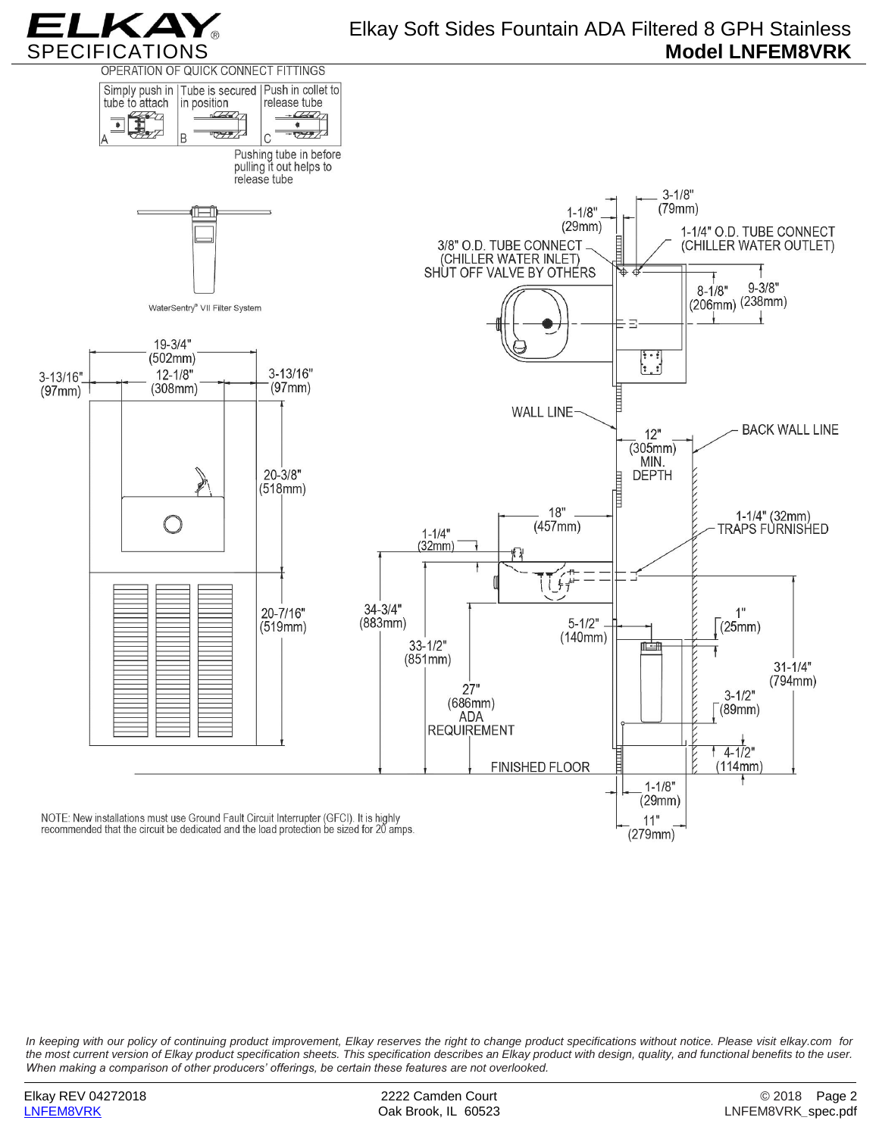



*In keeping with our policy of continuing product improvement, Elkay reserves the right to change product specifications without notice. Please visit elkay.com for the most current version of Elkay product specification sheets. This specification describes an Elkay product with design, quality, and functional benefits to the user. When making a comparison of other producers' offerings, be certain these features are not overlooked.*